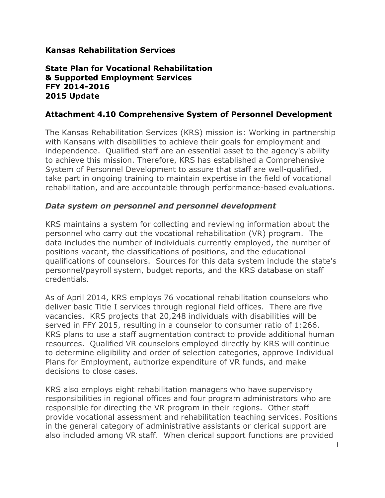#### **Kansas Rehabilitation Services**

#### **State Plan for Vocational Rehabilitation & Supported Employment Services FFY 2014-2016 2015 Update**

#### **Attachment 4.10 Comprehensive System of Personnel Development**

The Kansas Rehabilitation Services (KRS) mission is: Working in partnership with Kansans with disabilities to achieve their goals for employment and independence. Qualified staff are an essential asset to the agency's ability to achieve this mission. Therefore, KRS has established a Comprehensive System of Personnel Development to assure that staff are well-qualified, take part in ongoing training to maintain expertise in the field of vocational rehabilitation, and are accountable through performance-based evaluations.

#### *Data system on personnel and personnel development*

KRS maintains a system for collecting and reviewing information about the personnel who carry out the vocational rehabilitation (VR) program. The data includes the number of individuals currently employed, the number of positions vacant, the classifications of positions, and the educational qualifications of counselors. Sources for this data system include the state's personnel/payroll system, budget reports, and the KRS database on staff credentials.

As of April 2014, KRS employs 76 vocational rehabilitation counselors who deliver basic Title I services through regional field offices. There are five vacancies. KRS projects that 20,248 individuals with disabilities will be served in FFY 2015, resulting in a counselor to consumer ratio of 1:266. KRS plans to use a staff augmentation contract to provide additional human resources. Qualified VR counselors employed directly by KRS will continue to determine eligibility and order of selection categories, approve Individual Plans for Employment, authorize expenditure of VR funds, and make decisions to close cases.

KRS also employs eight rehabilitation managers who have supervisory responsibilities in regional offices and four program administrators who are responsible for directing the VR program in their regions. Other staff provide vocational assessment and rehabilitation teaching services. Positions in the general category of administrative assistants or clerical support are also included among VR staff. When clerical support functions are provided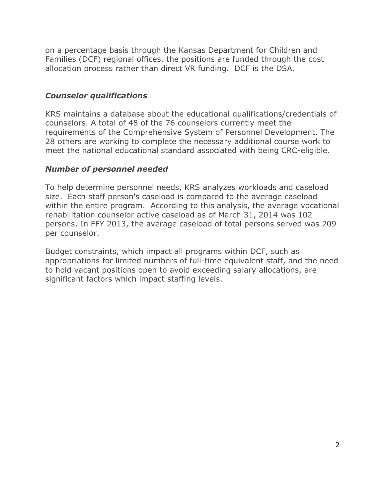on a percentage basis through the Kansas Department for Children and Families (DCF) regional offices, the positions are funded through the cost allocation process rather than direct VR funding. DCF is the DSA.

## *Counselor qualifications*

KRS maintains a database about the educational qualifications/credentials of counselors. A total of 48 of the 76 counselors currently meet the requirements of the Comprehensive System of Personnel Development. The 28 others are working to complete the necessary additional course work to meet the national educational standard associated with being CRC-eligible.

## *Number of personnel needed*

To help determine personnel needs, KRS analyzes workloads and caseload size. Each staff person's caseload is compared to the average caseload within the entire program. According to this analysis, the average vocational rehabilitation counselor active caseload as of March 31, 2014 was 102 persons. In FFY 2013, the average caseload of total persons served was 209 per counselor.

Budget constraints, which impact all programs within DCF, such as appropriations for limited numbers of full-time equivalent staff, and the need to hold vacant positions open to avoid exceeding salary allocations, are significant factors which impact staffing levels.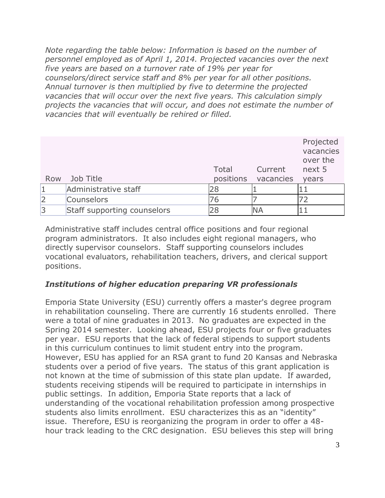*Note regarding the table below: Information is based on the number of personnel employed as of April 1, 2014. Projected vacancies over the next five years are based on a turnover rate of 19% per year for counselors/direct service staff and 8% per year for all other positions. Annual turnover is then multiplied by five to determine the projected vacancies that will occur over the next five years. This calculation simply projects the vacancies that will occur, and does not estimate the number of vacancies that will eventually be rehired or filled.*

| Row | Job Title                   | Total | Current<br>positions vacancies | Projected<br>vacancies<br>over the<br>next 5<br>years |
|-----|-----------------------------|-------|--------------------------------|-------------------------------------------------------|
|     | Administrative staff        | 28    |                                |                                                       |
| 2   | <b>Counselors</b>           | 76    |                                |                                                       |
| 3   | Staff supporting counselors |       | ΝA                             |                                                       |

Administrative staff includes central office positions and four regional program administrators. It also includes eight regional managers, who directly supervisor counselors. Staff supporting counselors includes vocational evaluators, rehabilitation teachers, drivers, and clerical support positions.

## *Institutions of higher education preparing VR professionals*

Emporia State University (ESU) currently offers a master's degree program in rehabilitation counseling. There are currently 16 students enrolled. There were a total of nine graduates in 2013. No graduates are expected in the Spring 2014 semester. Looking ahead, ESU projects four or five graduates per year. ESU reports that the lack of federal stipends to support students in this curriculum continues to limit student entry into the program. However, ESU has applied for an RSA grant to fund 20 Kansas and Nebraska students over a period of five years. The status of this grant application is not known at the time of submission of this state plan update. If awarded, students receiving stipends will be required to participate in internships in public settings. In addition, Emporia State reports that a lack of understanding of the vocational rehabilitation profession among prospective students also limits enrollment. ESU characterizes this as an "identity" issue. Therefore, ESU is reorganizing the program in order to offer a 48 hour track leading to the CRC designation. ESU believes this step will bring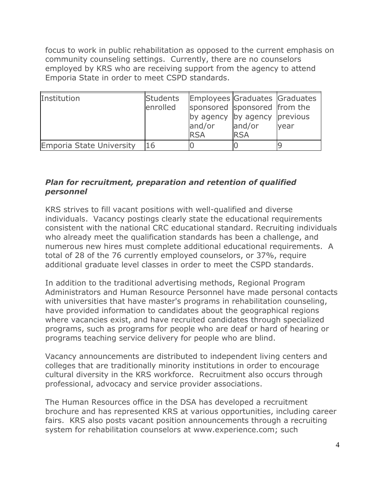focus to work in public rehabilitation as opposed to the current emphasis on community counseling settings. Currently, there are no counselors employed by KRS who are receiving support from the agency to attend Emporia State in order to meet CSPD standards.

| Institution                     | <b>Students</b><br>enrolled | and/or<br><b>RSA</b> | Employees Graduates Graduates<br>sponsored sponsored from the<br>by agency by agency previous<br>and/or<br><b>RSA</b> | year |
|---------------------------------|-----------------------------|----------------------|-----------------------------------------------------------------------------------------------------------------------|------|
| <b>Emporia State University</b> | 16                          |                      |                                                                                                                       |      |

## *Plan for recruitment, preparation and retention of qualified personnel*

KRS strives to fill vacant positions with well-qualified and diverse individuals. Vacancy postings clearly state the educational requirements consistent with the national CRC educational standard. Recruiting individuals who already meet the qualification standards has been a challenge, and numerous new hires must complete additional educational requirements. A total of 28 of the 76 currently employed counselors, or 37%, require additional graduate level classes in order to meet the CSPD standards.

In addition to the traditional advertising methods, Regional Program Administrators and Human Resource Personnel have made personal contacts with universities that have master's programs in rehabilitation counseling, have provided information to candidates about the geographical regions where vacancies exist, and have recruited candidates through specialized programs, such as programs for people who are deaf or hard of hearing or programs teaching service delivery for people who are blind.

Vacancy announcements are distributed to independent living centers and colleges that are traditionally minority institutions in order to encourage cultural diversity in the KRS workforce. Recruitment also occurs through professional, advocacy and service provider associations.

The Human Resources office in the DSA has developed a recruitment brochure and has represented KRS at various opportunities, including career fairs. KRS also posts vacant position announcements through a recruiting system for rehabilitation counselors at www.experience.com; such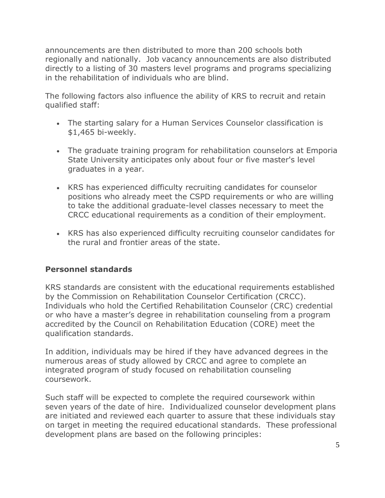announcements are then distributed to more than 200 schools both regionally and nationally. Job vacancy announcements are also distributed directly to a listing of 30 masters level programs and programs specializing in the rehabilitation of individuals who are blind.

The following factors also influence the ability of KRS to recruit and retain qualified staff:

- The starting salary for a Human Services Counselor classification is \$1,465 bi-weekly.
- The graduate training program for rehabilitation counselors at Emporia State University anticipates only about four or five master's level graduates in a year.
- KRS has experienced difficulty recruiting candidates for counselor positions who already meet the CSPD requirements or who are willing to take the additional graduate-level classes necessary to meet the CRCC educational requirements as a condition of their employment.
- KRS has also experienced difficulty recruiting counselor candidates for the rural and frontier areas of the state.

## **Personnel standards**

KRS standards are consistent with the educational requirements established by the Commission on Rehabilitation Counselor Certification (CRCC). Individuals who hold the Certified Rehabilitation Counselor (CRC) credential or who have a master's degree in rehabilitation counseling from a program accredited by the Council on Rehabilitation Education (CORE) meet the qualification standards.

In addition, individuals may be hired if they have advanced degrees in the numerous areas of study allowed by CRCC and agree to complete an integrated program of study focused on rehabilitation counseling coursework.

Such staff will be expected to complete the required coursework within seven years of the date of hire. Individualized counselor development plans are initiated and reviewed each quarter to assure that these individuals stay on target in meeting the required educational standards. These professional development plans are based on the following principles: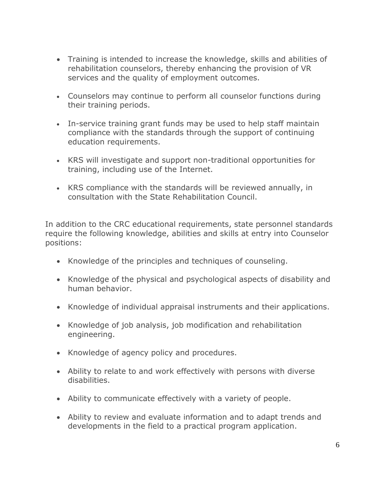- Training is intended to increase the knowledge, skills and abilities of rehabilitation counselors, thereby enhancing the provision of VR services and the quality of employment outcomes.
- Counselors may continue to perform all counselor functions during their training periods.
- In-service training grant funds may be used to help staff maintain compliance with the standards through the support of continuing education requirements.
- KRS will investigate and support non-traditional opportunities for training, including use of the Internet.
- KRS compliance with the standards will be reviewed annually, in consultation with the State Rehabilitation Council.

In addition to the CRC educational requirements, state personnel standards require the following knowledge, abilities and skills at entry into Counselor positions:

- Knowledge of the principles and techniques of counseling.
- Knowledge of the physical and psychological aspects of disability and human behavior.
- Knowledge of individual appraisal instruments and their applications.
- Knowledge of job analysis, job modification and rehabilitation engineering.
- Knowledge of agency policy and procedures.
- Ability to relate to and work effectively with persons with diverse disabilities.
- Ability to communicate effectively with a variety of people.
- Ability to review and evaluate information and to adapt trends and developments in the field to a practical program application.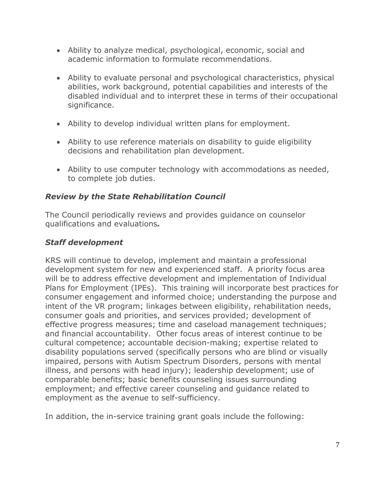- Ability to analyze medical, psychological, economic, social and academic information to formulate recommendations.
- Ability to evaluate personal and psychological characteristics, physical abilities, work background, potential capabilities and interests of the disabled individual and to interpret these in terms of their occupational significance.
- Ability to develop individual written plans for employment.
- Ability to use reference materials on disability to guide eligibility decisions and rehabilitation plan development.
- Ability to use computer technology with accommodations as needed, to complete job duties.

# *Review by the State Rehabilitation Council*

The Council periodically reviews and provides guidance on counselor qualifications and evaluations*.*

# *Staff development*

KRS will continue to develop, implement and maintain a professional development system for new and experienced staff. A priority focus area will be to address effective development and implementation of Individual Plans for Employment (IPEs). This training will incorporate best practices for consumer engagement and informed choice; understanding the purpose and intent of the VR program; linkages between eligibility, rehabilitation needs, consumer goals and priorities, and services provided; development of effective progress measures; time and caseload management techniques; and financial accountability. Other focus areas of interest continue to be cultural competence; accountable decision-making; expertise related to disability populations served (specifically persons who are blind or visually impaired, persons with Autism Spectrum Disorders, persons with mental illness, and persons with head injury); leadership development; use of comparable benefits; basic benefits counseling issues surrounding employment; and effective career counseling and guidance related to employment as the avenue to self-sufficiency.

In addition, the in-service training grant goals include the following: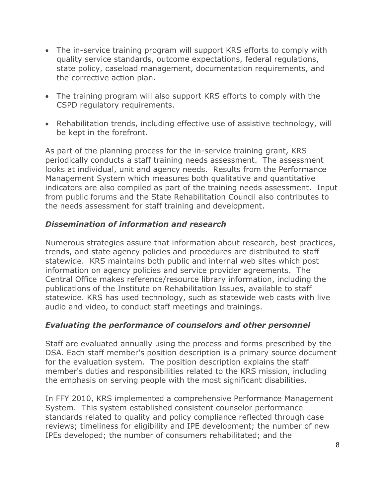- The in-service training program will support KRS efforts to comply with quality service standards, outcome expectations, federal regulations, state policy, caseload management, documentation requirements, and the corrective action plan.
- The training program will also support KRS efforts to comply with the CSPD regulatory requirements.
- Rehabilitation trends, including effective use of assistive technology, will be kept in the forefront.

As part of the planning process for the in-service training grant, KRS periodically conducts a staff training needs assessment. The assessment looks at individual, unit and agency needs. Results from the Performance Management System which measures both qualitative and quantitative indicators are also compiled as part of the training needs assessment. Input from public forums and the State Rehabilitation Council also contributes to the needs assessment for staff training and development.

## *Dissemination of information and research*

Numerous strategies assure that information about research, best practices, trends, and state agency policies and procedures are distributed to staff statewide. KRS maintains both public and internal web sites which post information on agency policies and service provider agreements. The Central Office makes reference/resource library information, including the publications of the Institute on Rehabilitation Issues, available to staff statewide. KRS has used technology, such as statewide web casts with live audio and video, to conduct staff meetings and trainings.

## *Evaluating the performance of counselors and other personnel*

Staff are evaluated annually using the process and forms prescribed by the DSA. Each staff member's position description is a primary source document for the evaluation system. The position description explains the staff member's duties and responsibilities related to the KRS mission, including the emphasis on serving people with the most significant disabilities.

In FFY 2010, KRS implemented a comprehensive Performance Management System. This system established consistent counselor performance standards related to quality and policy compliance reflected through case reviews; timeliness for eligibility and IPE development; the number of new IPEs developed; the number of consumers rehabilitated; and the